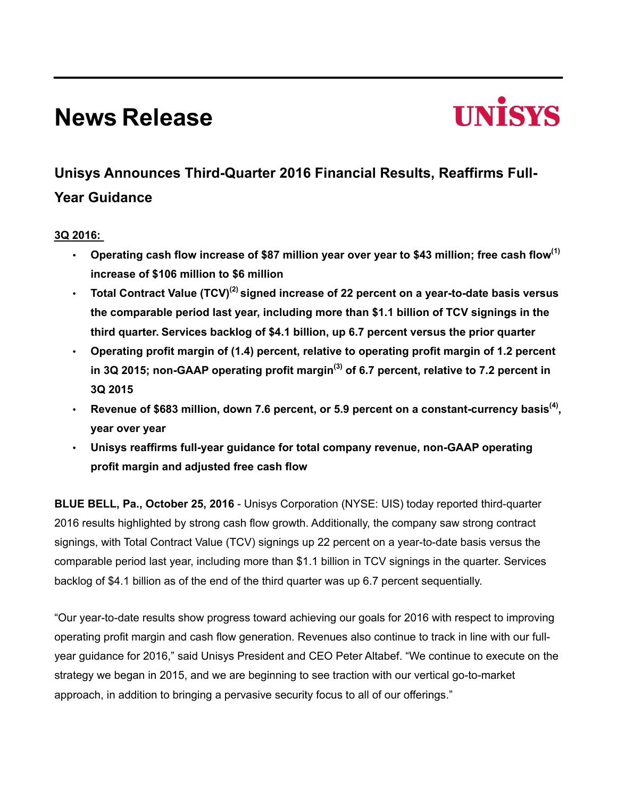# **News Release**



# **Unisys Announces Third-Quarter 2016 Financial Results, Reaffirms Full-Year Guidance**

# **3Q 2016:**

- **Operating cash flow increase of \$87 million year over year to \$43 million; free cash flow(1) increase of \$106 million to \$6 million**
- **Total Contract Value (TCV)(2) signed increase of 22 percent on a year-to-date basis versus the comparable period last year, including more than \$1.1 billion of TCV signings in the third quarter. Services backlog of \$4.1 billion, up 6.7 percent versus the prior quarter**
- **Operating profit margin of (1.4) percent, relative to operating profit margin of 1.2 percent in 3Q 2015; non-GAAP operating profit margin(3) of 6.7 percent, relative to 7.2 percent in 3Q 2015**
- **Revenue of \$683 million, down 7.6 percent, or 5.9 percent on a constant-currency basis(4) , year over year**
- **Unisys reaffirms full-year guidance for total company revenue, non-GAAP operating profit margin and adjusted free cash flow**

**BLUE BELL, Pa., October 25, 2016** - Unisys Corporation (NYSE: UIS) today reported third-quarter 2016 results highlighted by strong cash flow growth. Additionally, the company saw strong contract signings, with Total Contract Value (TCV) signings up 22 percent on a year-to-date basis versus the comparable period last year, including more than \$1.1 billion in TCV signings in the quarter. Services backlog of \$4.1 billion as of the end of the third quarter was up 6.7 percent sequentially.

"Our year-to-date results show progress toward achieving our goals for 2016 with respect to improving operating profit margin and cash flow generation. Revenues also continue to track in line with our fullyear guidance for 2016," said Unisys President and CEO Peter Altabef. "We continue to execute on the strategy we began in 2015, and we are beginning to see traction with our vertical go-to-market approach, in addition to bringing a pervasive security focus to all of our offerings."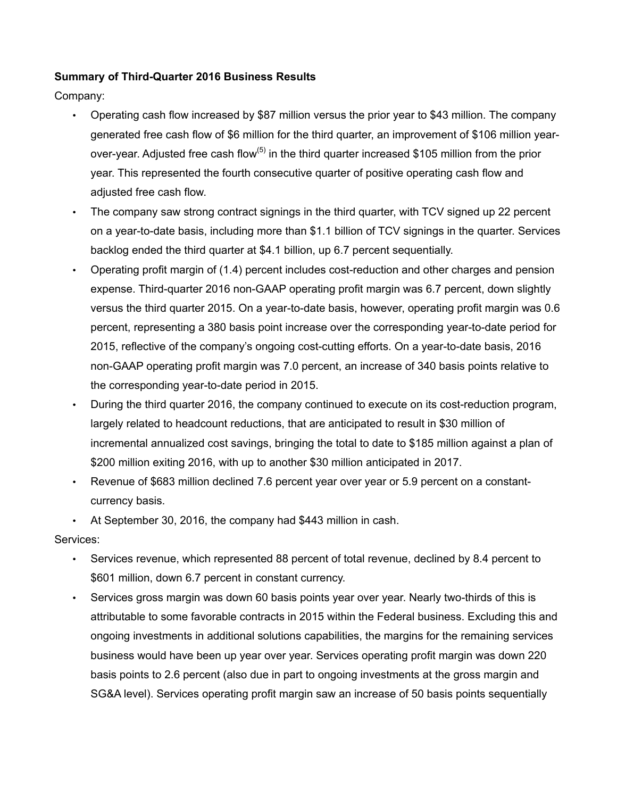# **Summary of Third-Quarter 2016 Business Results**

Company:

- Operating cash flow increased by \$87 million versus the prior year to \$43 million. The company generated free cash flow of \$6 million for the third quarter, an improvement of \$106 million yearover-year. Adjusted free cash flow<sup>(5)</sup> in the third quarter increased \$105 million from the prior year. This represented the fourth consecutive quarter of positive operating cash flow and adjusted free cash flow.
- The company saw strong contract signings in the third quarter, with TCV signed up 22 percent on a year-to-date basis, including more than \$1.1 billion of TCV signings in the quarter. Services backlog ended the third quarter at \$4.1 billion, up 6.7 percent sequentially.
- Operating profit margin of (1.4) percent includes cost-reduction and other charges and pension expense. Third-quarter 2016 non-GAAP operating profit margin was 6.7 percent, down slightly versus the third quarter 2015. On a year-to-date basis, however, operating profit margin was 0.6 percent, representing a 380 basis point increase over the corresponding year-to-date period for 2015, reflective of the company's ongoing cost-cutting efforts. On a year-to-date basis, 2016 non-GAAP operating profit margin was 7.0 percent, an increase of 340 basis points relative to the corresponding year-to-date period in 2015.
- During the third quarter 2016, the company continued to execute on its cost-reduction program, largely related to headcount reductions, that are anticipated to result in \$30 million of incremental annualized cost savings, bringing the total to date to \$185 million against a plan of \$200 million exiting 2016, with up to another \$30 million anticipated in 2017.
- Revenue of \$683 million declined 7.6 percent year over year or 5.9 percent on a constantcurrency basis.
- At September 30, 2016, the company had \$443 million in cash.

Services:

- Services revenue, which represented 88 percent of total revenue, declined by 8.4 percent to \$601 million, down 6.7 percent in constant currency.
- Services gross margin was down 60 basis points year over year. Nearly two-thirds of this is attributable to some favorable contracts in 2015 within the Federal business. Excluding this and ongoing investments in additional solutions capabilities, the margins for the remaining services business would have been up year over year. Services operating profit margin was down 220 basis points to 2.6 percent (also due in part to ongoing investments at the gross margin and SG&A level). Services operating profit margin saw an increase of 50 basis points sequentially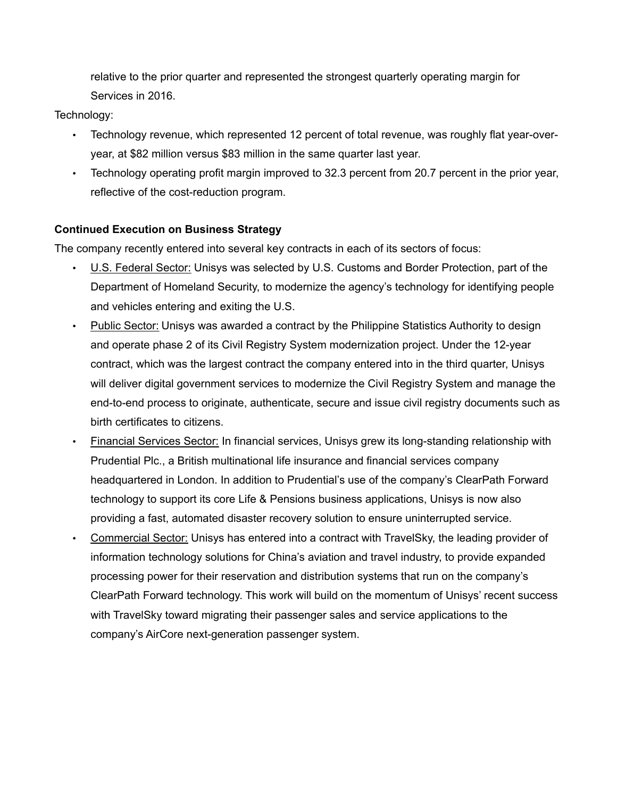relative to the prior quarter and represented the strongest quarterly operating margin for Services in 2016.

Technology:

- Technology revenue, which represented 12 percent of total revenue, was roughly flat year-overyear, at \$82 million versus \$83 million in the same quarter last year.
- Technology operating profit margin improved to 32.3 percent from 20.7 percent in the prior year, reflective of the cost-reduction program.

# **Continued Execution on Business Strategy**

The company recently entered into several key contracts in each of its sectors of focus:

- U.S. Federal Sector: Unisys was selected by U.S. Customs and Border Protection, part of the Department of Homeland Security, to modernize the agency's technology for identifying people and vehicles entering and exiting the U.S.
- Public Sector: Unisys was awarded a contract by the Philippine Statistics Authority to design and operate phase 2 of its Civil Registry System modernization project. Under the 12-year contract, which was the largest contract the company entered into in the third quarter, Unisys will deliver digital government services to modernize the Civil Registry System and manage the end-to-end process to originate, authenticate, secure and issue civil registry documents such as birth certificates to citizens.
- Financial Services Sector: In financial services, Unisys grew its long-standing relationship with Prudential Plc., a British multinational life insurance and financial services company headquartered in London. In addition to Prudential's use of the company's ClearPath Forward technology to support its core Life & Pensions business applications, Unisys is now also providing a fast, automated disaster recovery solution to ensure uninterrupted service.
- Commercial Sector: Unisys has entered into a contract with TravelSky, the leading provider of information technology solutions for China's aviation and travel industry, to provide expanded processing power for their reservation and distribution systems that run on the company's ClearPath Forward technology. This work will build on the momentum of Unisys' recent success with TravelSky toward migrating their passenger sales and service applications to the company's AirCore next-generation passenger system.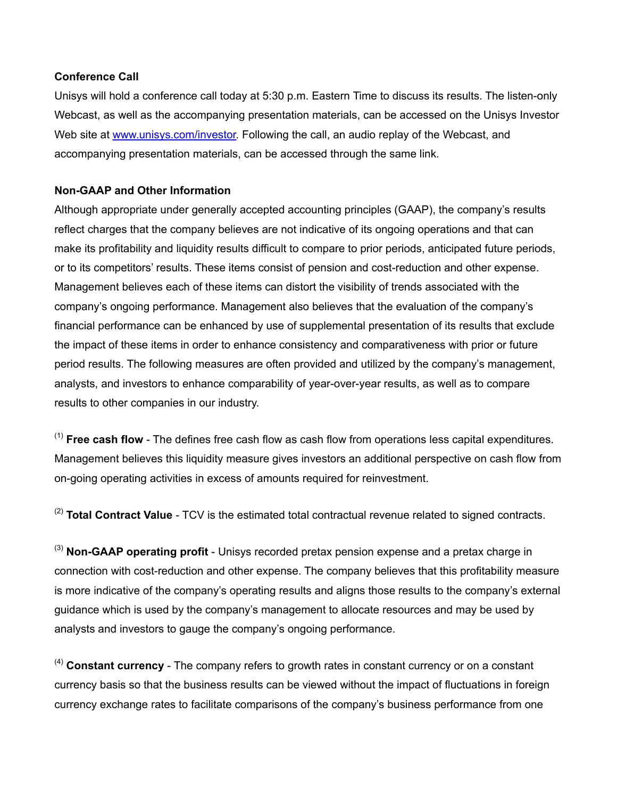## **Conference Call**

Unisys will hold a conference call today at 5:30 p.m. Eastern Time to discuss its results. The listen-only Webcast, as well as the accompanying presentation materials, can be accessed on the Unisys Investor Web site at www.unisys.com/investor. Following the call, an audio replay of the Webcast, and accompanying presentation materials, can be accessed through the same link.

# **Non-GAAP and Other Information**

Although appropriate under generally accepted accounting principles (GAAP), the company's results reflect charges that the company believes are not indicative of its ongoing operations and that can make its profitability and liquidity results difficult to compare to prior periods, anticipated future periods, or to its competitors' results. These items consist of pension and cost-reduction and other expense. Management believes each of these items can distort the visibility of trends associated with the company's ongoing performance. Management also believes that the evaluation of the company's financial performance can be enhanced by use of supplemental presentation of its results that exclude the impact of these items in order to enhance consistency and comparativeness with prior or future period results. The following measures are often provided and utilized by the company's management, analysts, and investors to enhance comparability of year-over-year results, as well as to compare results to other companies in our industry.

(1) **Free cash flow** - The defines free cash flow as cash flow from operations less capital expenditures. Management believes this liquidity measure gives investors an additional perspective on cash flow from on-going operating activities in excess of amounts required for reinvestment.

(2) **Total Contract Value** - TCV is the estimated total contractual revenue related to signed contracts.

(3) **Non-GAAP operating profit** - Unisys recorded pretax pension expense and a pretax charge in connection with cost-reduction and other expense. The company believes that this profitability measure is more indicative of the company's operating results and aligns those results to the company's external guidance which is used by the company's management to allocate resources and may be used by analysts and investors to gauge the company's ongoing performance.

(4) **Constant currency** - The company refers to growth rates in constant currency or on a constant currency basis so that the business results can be viewed without the impact of fluctuations in foreign currency exchange rates to facilitate comparisons of the company's business performance from one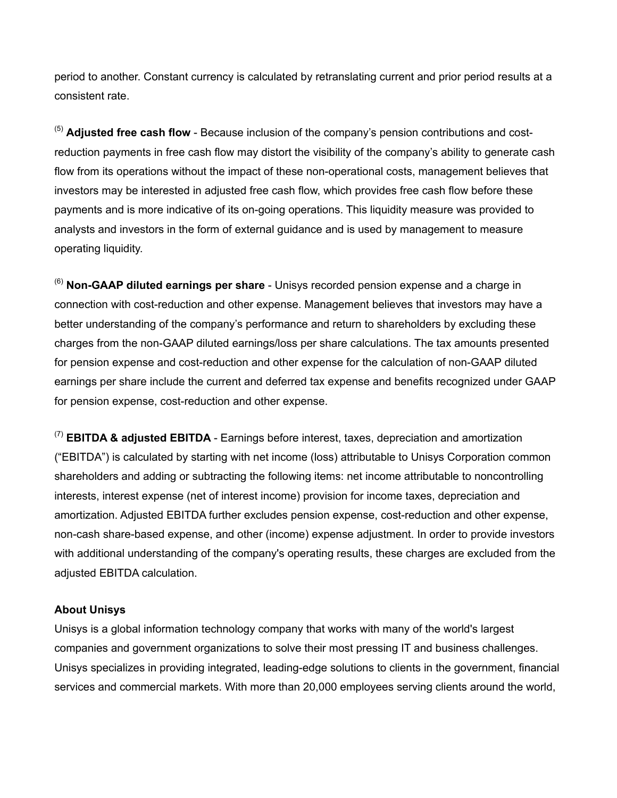period to another. Constant currency is calculated by retranslating current and prior period results at a consistent rate.

(5) **Adjusted free cash flow** - Because inclusion of the company's pension contributions and costreduction payments in free cash flow may distort the visibility of the company's ability to generate cash flow from its operations without the impact of these non-operational costs, management believes that investors may be interested in adjusted free cash flow, which provides free cash flow before these payments and is more indicative of its on-going operations. This liquidity measure was provided to analysts and investors in the form of external guidance and is used by management to measure operating liquidity.

(6) **Non-GAAP diluted earnings per share** - Unisys recorded pension expense and a charge in connection with cost-reduction and other expense. Management believes that investors may have a better understanding of the company's performance and return to shareholders by excluding these charges from the non-GAAP diluted earnings/loss per share calculations. The tax amounts presented for pension expense and cost-reduction and other expense for the calculation of non-GAAP diluted earnings per share include the current and deferred tax expense and benefits recognized under GAAP for pension expense, cost-reduction and other expense.

(7) **EBITDA & adjusted EBITDA** - Earnings before interest, taxes, depreciation and amortization ("EBITDA") is calculated by starting with net income (loss) attributable to Unisys Corporation common shareholders and adding or subtracting the following items: net income attributable to noncontrolling interests, interest expense (net of interest income) provision for income taxes, depreciation and amortization. Adjusted EBITDA further excludes pension expense, cost-reduction and other expense, non-cash share-based expense, and other (income) expense adjustment. In order to provide investors with additional understanding of the company's operating results, these charges are excluded from the adjusted EBITDA calculation.

### **About Unisys**

Unisys is a global information technology company that works with many of the world's largest companies and government organizations to solve their most pressing IT and business challenges. Unisys specializes in providing integrated, leading-edge solutions to clients in the government, financial services and commercial markets. With more than 20,000 employees serving clients around the world,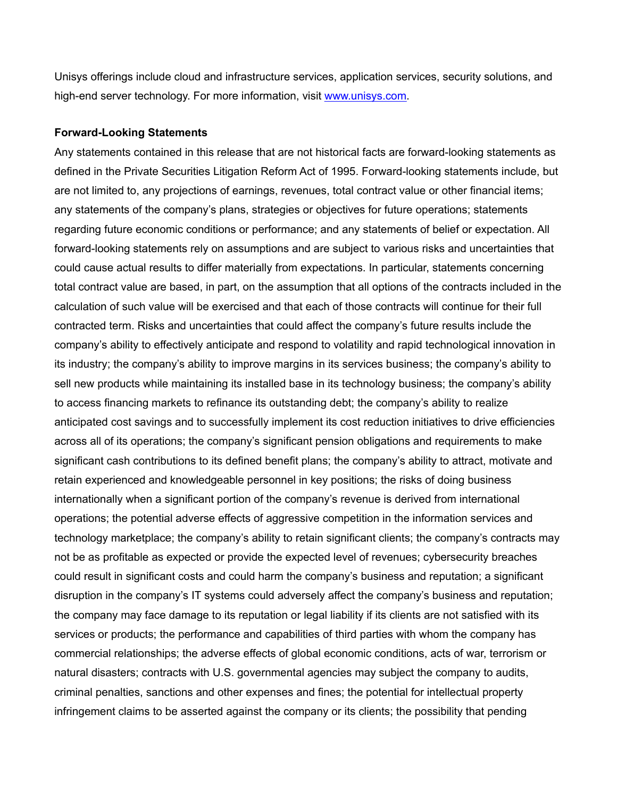Unisys offerings include cloud and infrastructure services, application services, security solutions, and high-end server technology. For more information, visit www.unisys.com.

#### **Forward-Looking Statements**

Any statements contained in this release that are not historical facts are forward-looking statements as defined in the Private Securities Litigation Reform Act of 1995. Forward-looking statements include, but are not limited to, any projections of earnings, revenues, total contract value or other financial items; any statements of the company's plans, strategies or objectives for future operations; statements regarding future economic conditions or performance; and any statements of belief or expectation. All forward-looking statements rely on assumptions and are subject to various risks and uncertainties that could cause actual results to differ materially from expectations. In particular, statements concerning total contract value are based, in part, on the assumption that all options of the contracts included in the calculation of such value will be exercised and that each of those contracts will continue for their full contracted term. Risks and uncertainties that could affect the company's future results include the company's ability to effectively anticipate and respond to volatility and rapid technological innovation in its industry; the company's ability to improve margins in its services business; the company's ability to sell new products while maintaining its installed base in its technology business; the company's ability to access financing markets to refinance its outstanding debt; the company's ability to realize anticipated cost savings and to successfully implement its cost reduction initiatives to drive efficiencies across all of its operations; the company's significant pension obligations and requirements to make significant cash contributions to its defined benefit plans; the company's ability to attract, motivate and retain experienced and knowledgeable personnel in key positions; the risks of doing business internationally when a significant portion of the company's revenue is derived from international operations; the potential adverse effects of aggressive competition in the information services and technology marketplace; the company's ability to retain significant clients; the company's contracts may not be as profitable as expected or provide the expected level of revenues; cybersecurity breaches could result in significant costs and could harm the company's business and reputation; a significant disruption in the company's IT systems could adversely affect the company's business and reputation; the company may face damage to its reputation or legal liability if its clients are not satisfied with its services or products; the performance and capabilities of third parties with whom the company has commercial relationships; the adverse effects of global economic conditions, acts of war, terrorism or natural disasters; contracts with U.S. governmental agencies may subject the company to audits, criminal penalties, sanctions and other expenses and fines; the potential for intellectual property infringement claims to be asserted against the company or its clients; the possibility that pending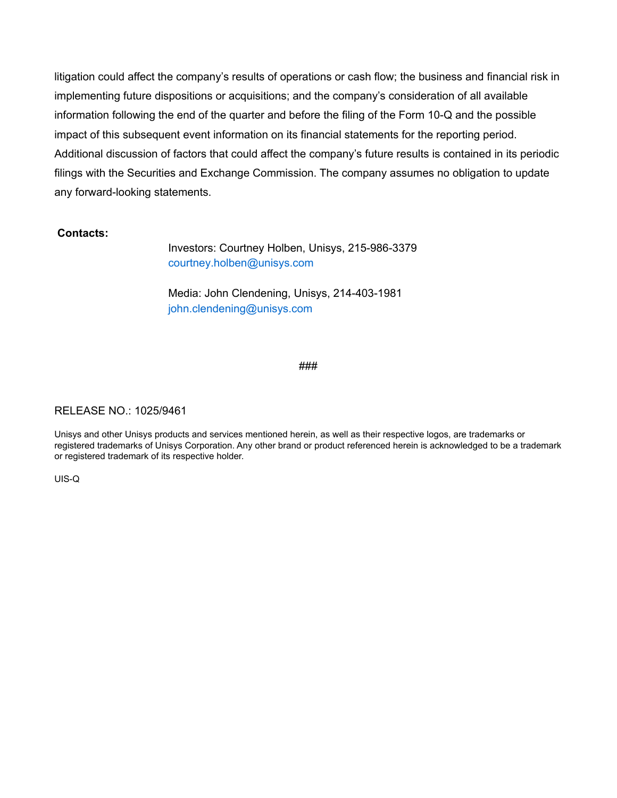litigation could affect the company's results of operations or cash flow; the business and financial risk in implementing future dispositions or acquisitions; and the company's consideration of all available information following the end of the quarter and before the filing of the Form 10-Q and the possible impact of this subsequent event information on its financial statements for the reporting period. Additional discussion of factors that could affect the company's future results is contained in its periodic filings with the Securities and Exchange Commission. The company assumes no obligation to update any forward-looking statements.

#### **Contacts:**

Investors: Courtney Holben, Unisys, 215-986-3379 courtney.holben@unisys.com

Media: John Clendening, Unisys, 214-403-1981 john.clendening@unisys.com

#### ###

#### RELEASE NO.: 1025/9461

Unisys and other Unisys products and services mentioned herein, as well as their respective logos, are trademarks or registered trademarks of Unisys Corporation. Any other brand or product referenced herein is acknowledged to be a trademark or registered trademark of its respective holder.

UIS-Q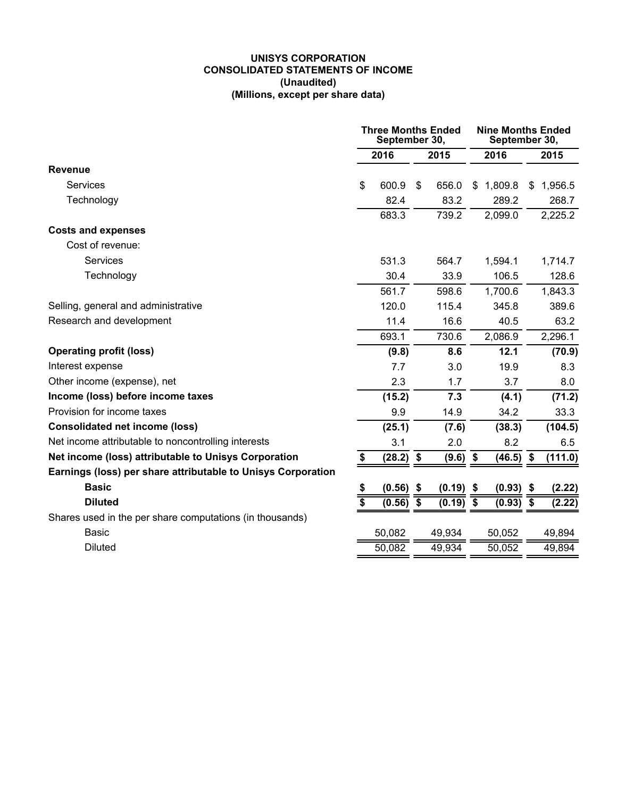#### **UNISYS CORPORATION CONSOLIDATED STATEMENTS OF INCOME (Unaudited) (Millions, except per share data)**

|                                                              | <b>Three Months Ended</b><br>September 30, |             |      | <b>Nine Months Ended</b><br>September 30, |      |             |      |         |
|--------------------------------------------------------------|--------------------------------------------|-------------|------|-------------------------------------------|------|-------------|------|---------|
|                                                              | 2016                                       |             | 2015 |                                           | 2016 |             | 2015 |         |
| <b>Revenue</b>                                               |                                            |             |      |                                           |      |             |      |         |
| <b>Services</b>                                              | \$                                         | 600.9       | \$   | 656.0                                     | \$   | 1,809.8     | \$   | 1,956.5 |
| Technology                                                   |                                            | 82.4        |      | 83.2                                      |      | 289.2       |      | 268.7   |
|                                                              |                                            | 683.3       |      | 739.2                                     |      | 2,099.0     |      | 2,225.2 |
| <b>Costs and expenses</b>                                    |                                            |             |      |                                           |      |             |      |         |
| Cost of revenue:                                             |                                            |             |      |                                           |      |             |      |         |
| <b>Services</b>                                              |                                            | 531.3       |      | 564.7                                     |      | 1,594.1     |      | 1,714.7 |
| Technology                                                   |                                            | 30.4        |      | 33.9                                      |      | 106.5       |      | 128.6   |
|                                                              |                                            | 561.7       |      | 598.6                                     |      | 1,700.6     |      | 1,843.3 |
| Selling, general and administrative                          |                                            | 120.0       |      | 115.4                                     |      | 345.8       |      | 389.6   |
| Research and development                                     |                                            | 11.4        |      | 16.6                                      |      | 40.5        |      | 63.2    |
|                                                              |                                            | 693.1       |      | 730.6                                     |      | 2,086.9     |      | 2,296.1 |
| <b>Operating profit (loss)</b>                               |                                            | (9.8)       |      | 8.6                                       |      | 12.1        |      | (70.9)  |
| Interest expense                                             |                                            | 7.7         |      | 3.0                                       |      | 19.9        |      | 8.3     |
| Other income (expense), net                                  |                                            | 2.3         |      | 1.7                                       |      | 3.7         |      | 8.0     |
| Income (loss) before income taxes                            |                                            | (15.2)      |      | 7.3                                       |      | (4.1)       |      | (71.2)  |
| Provision for income taxes                                   |                                            | 9.9         |      | 14.9                                      |      | 34.2        |      | 33.3    |
| <b>Consolidated net income (loss)</b>                        |                                            | (25.1)      |      | (7.6)                                     |      | (38.3)      |      | (104.5) |
| Net income attributable to noncontrolling interests          |                                            | 3.1         |      | 2.0                                       |      | 8.2         |      | 6.5     |
| Net income (loss) attributable to Unisys Corporation         | \$                                         | $(28.2)$ \$ |      | (9.6)                                     | \$   | (46.5)      | \$   | (111.0) |
| Earnings (loss) per share attributable to Unisys Corporation |                                            |             |      |                                           |      |             |      |         |
| <b>Basic</b>                                                 | \$                                         | $(0.56)$ \$ |      | $(0.19)$ \$                               |      | $(0.93)$ \$ |      | (2.22)  |
| <b>Diluted</b>                                               | $\overline{\$}$                            | $(0.56)$ \$ |      | $(0.19)$ \$                               |      | $(0.93)$ \$ |      | (2.22)  |
| Shares used in the per share computations (in thousands)     |                                            |             |      |                                           |      |             |      |         |
| <b>Basic</b>                                                 |                                            | 50,082      |      | 49,934                                    |      | 50,052      |      | 49,894  |
| <b>Diluted</b>                                               |                                            | 50,082      |      | 49,934                                    |      | 50,052      |      | 49,894  |
|                                                              |                                            |             |      |                                           |      |             |      |         |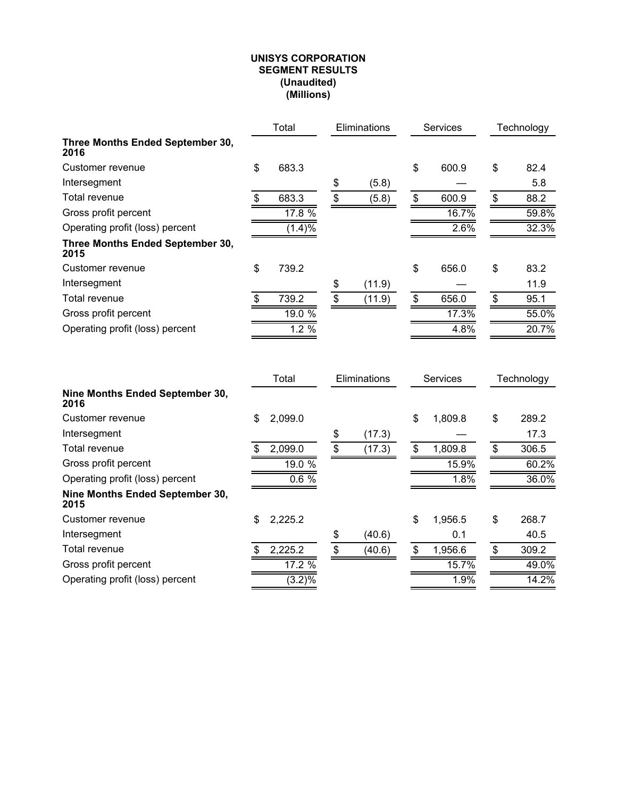#### **UNISYS CORPORATION SEGMENT RESULTS (Unaudited) (Millions)**

|                                          | Total<br><b>Eliminations</b> |          | <b>Services</b> | Technology |             |            |
|------------------------------------------|------------------------------|----------|-----------------|------------|-------------|------------|
| Three Months Ended September 30,<br>2016 |                              |          |                 |            |             |            |
| Customer revenue                         | \$                           | 683.3    |                 |            | \$<br>600.9 | \$<br>82.4 |
| Intersegment                             |                              |          | \$              | (5.8)      |             | 5.8        |
| Total revenue                            | \$.                          | 683.3    | \$              | (5.8)      | \$<br>600.9 | \$<br>88.2 |
| Gross profit percent                     |                              | $17.8\%$ |                 |            | 16.7%       | 59.8%      |
| Operating profit (loss) percent          |                              | (1.4)%   |                 |            | 2.6%        | 32.3%      |
| Three Months Ended September 30,<br>2015 |                              |          |                 |            |             |            |
| Customer revenue                         | \$                           | 739.2    |                 |            | \$<br>656.0 | \$<br>83.2 |
| Intersegment                             |                              |          | \$              | (11.9)     |             | 11.9       |
| Total revenue                            | \$                           | 739.2    | $\mathbf{s}$    | (11.9)     | \$<br>656.0 | \$<br>95.1 |
| Gross profit percent                     |                              | 19.0%    |                 |            | 17.3%       | 55.0%      |
| Operating profit (loss) percent          |                              | $1.2\%$  |                 |            | 4.8%        | 20.7%      |

|                                         |    | Total            | Eliminations |        | <b>Services</b> | Technology  |  |
|-----------------------------------------|----|------------------|--------------|--------|-----------------|-------------|--|
| Nine Months Ended September 30,<br>2016 |    |                  |              |        |                 |             |  |
| Customer revenue                        | \$ | 2,099.0          |              |        | \$<br>1,809.8   | \$<br>289.2 |  |
| Intersegment                            |    |                  | \$           | (17.3) |                 | 17.3        |  |
| Total revenue                           | S  | 2,099.0          | \$           | (17.3) | \$<br>1,809.8   | \$<br>306.5 |  |
| Gross profit percent                    |    | 19.0 %           |              |        | 15.9%           | 60.2%       |  |
| Operating profit (loss) percent         |    | 0.6%             |              |        | 1.8%            | 36.0%       |  |
| Nine Months Ended September 30,<br>2015 |    |                  |              |        |                 |             |  |
| Customer revenue                        | \$ | 2,225.2          |              |        | \$<br>1,956.5   | \$<br>268.7 |  |
| Intersegment                            |    |                  | \$           | (40.6) | 0.1             | 40.5        |  |
| Total revenue                           |    | 2,225.2          | \$           | (40.6) | \$<br>1,956.6   | \$<br>309.2 |  |
| Gross profit percent                    |    | $17.2\%$         |              |        | 15.7%           | 49.0%       |  |
| Operating profit (loss) percent         |    | $\sqrt{(3.2)\%}$ |              |        | 1.9%            | $14.2\%$    |  |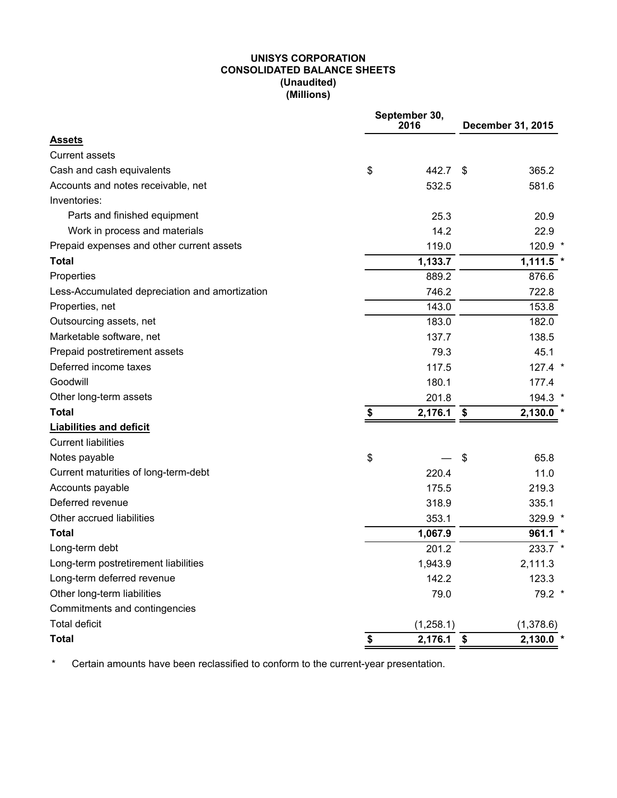#### **UNISYS CORPORATION CONSOLIDATED BALANCE SHEETS (Unaudited) (Millions)**

|                                                | September 30,<br>2016 | December 31, 2015 |             |  |
|------------------------------------------------|-----------------------|-------------------|-------------|--|
| <b>Assets</b>                                  |                       |                   |             |  |
| <b>Current assets</b>                          |                       |                   |             |  |
| Cash and cash equivalents                      | \$<br>442.7           | - \$              | 365.2       |  |
| Accounts and notes receivable, net             | 532.5                 |                   | 581.6       |  |
| Inventories:                                   |                       |                   |             |  |
| Parts and finished equipment                   | 25.3                  |                   | 20.9        |  |
| Work in process and materials                  | 14.2                  |                   | 22.9        |  |
| Prepaid expenses and other current assets      | 119.0                 |                   | 120.9 *     |  |
| <b>Total</b>                                   | 1,133.7               |                   | $1,111.5$ * |  |
| Properties                                     | 889.2                 |                   | 876.6       |  |
| Less-Accumulated depreciation and amortization | 746.2                 |                   | 722.8       |  |
| Properties, net                                | 143.0                 |                   | 153.8       |  |
| Outsourcing assets, net                        | 183.0                 |                   | 182.0       |  |
| Marketable software, net                       | 137.7                 |                   | 138.5       |  |
| Prepaid postretirement assets                  | 79.3                  |                   | 45.1        |  |
| Deferred income taxes                          | 117.5                 |                   | $127.4$ *   |  |
| Goodwill                                       | 180.1                 |                   | 177.4       |  |
| Other long-term assets                         | 201.8                 |                   | 194.3 *     |  |
| <b>Total</b>                                   | \$<br>2,176.1         | \$                | 2,130.0     |  |
| <b>Liabilities and deficit</b>                 |                       |                   |             |  |
| <b>Current liabilities</b>                     |                       |                   |             |  |
| Notes payable                                  | \$                    | \$                | 65.8        |  |
| Current maturities of long-term-debt           | 220.4                 |                   | 11.0        |  |
| Accounts payable                               | 175.5                 |                   | 219.3       |  |
| Deferred revenue                               | 318.9                 |                   | 335.1       |  |
| Other accrued liabilities                      | 353.1                 |                   | 329.9 *     |  |
| <b>Total</b>                                   | 1,067.9               |                   | $961.1$ *   |  |
| Long-term debt                                 | 201.2                 |                   | 233.7 *     |  |
| Long-term postretirement liabilities           | 1,943.9               |                   | 2,111.3     |  |
| Long-term deferred revenue                     | 142.2                 |                   | 123.3       |  |
| Other long-term liabilities                    | 79.0                  |                   | 79.2 *      |  |
| Commitments and contingencies                  |                       |                   |             |  |
| <b>Total deficit</b>                           | (1,258.1)             |                   | (1,378.6)   |  |
| <b>Total</b>                                   | \$<br>2,176.1         | \$                | $2,130.0$ * |  |

\* Certain amounts have been reclassified to conform to the current-year presentation.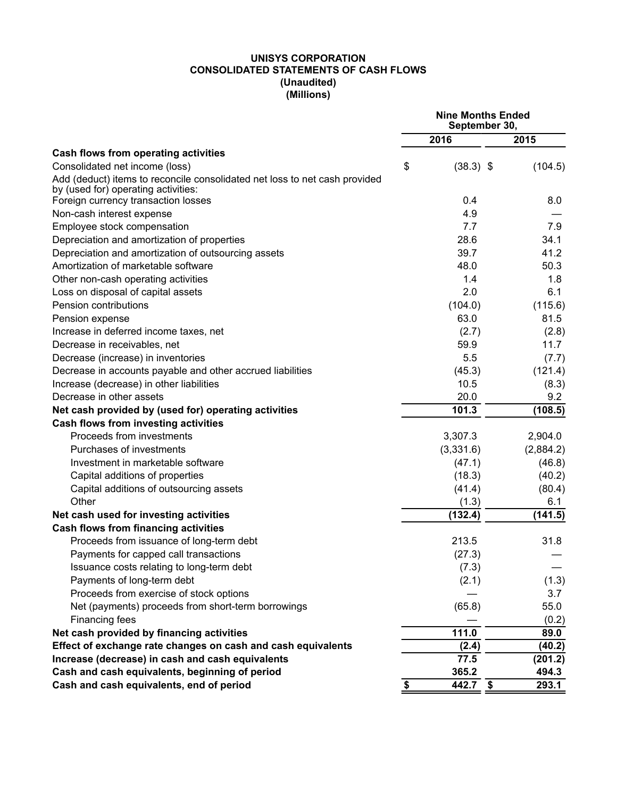#### **UNISYS CORPORATION CONSOLIDATED STATEMENTS OF CASH FLOWS (Unaudited) (Millions)**

|                                                                                                                   | <b>Nine Months Ended</b><br>September 30, |             |           |  |
|-------------------------------------------------------------------------------------------------------------------|-------------------------------------------|-------------|-----------|--|
|                                                                                                                   |                                           | 2016        | 2015      |  |
| Cash flows from operating activities                                                                              |                                           |             |           |  |
| Consolidated net income (loss)                                                                                    | \$                                        | $(38.3)$ \$ | (104.5)   |  |
| Add (deduct) items to reconcile consolidated net loss to net cash provided<br>by (used for) operating activities: |                                           |             |           |  |
| Foreign currency transaction losses                                                                               |                                           | 0.4         | 8.0       |  |
| Non-cash interest expense                                                                                         |                                           | 4.9         |           |  |
| Employee stock compensation                                                                                       |                                           | 7.7         | 7.9       |  |
| Depreciation and amortization of properties                                                                       |                                           | 28.6        | 34.1      |  |
| Depreciation and amortization of outsourcing assets                                                               |                                           | 39.7        | 41.2      |  |
| Amortization of marketable software                                                                               |                                           | 48.0        | 50.3      |  |
| Other non-cash operating activities                                                                               |                                           | 1.4         | 1.8       |  |
| Loss on disposal of capital assets                                                                                |                                           | 2.0         | 6.1       |  |
| Pension contributions                                                                                             |                                           | (104.0)     | (115.6)   |  |
| Pension expense                                                                                                   |                                           | 63.0        | 81.5      |  |
| Increase in deferred income taxes, net                                                                            |                                           | (2.7)       | (2.8)     |  |
| Decrease in receivables, net                                                                                      |                                           | 59.9        | 11.7      |  |
| Decrease (increase) in inventories                                                                                |                                           | 5.5         | (7.7)     |  |
| Decrease in accounts payable and other accrued liabilities                                                        |                                           | (45.3)      | (121.4)   |  |
| Increase (decrease) in other liabilities                                                                          |                                           | 10.5        | (8.3)     |  |
| Decrease in other assets                                                                                          |                                           | 20.0        | 9.2       |  |
| Net cash provided by (used for) operating activities                                                              |                                           | 101.3       | (108.5)   |  |
| Cash flows from investing activities                                                                              |                                           |             |           |  |
| Proceeds from investments                                                                                         |                                           | 3,307.3     | 2,904.0   |  |
| Purchases of investments                                                                                          |                                           | (3,331.6)   | (2,884.2) |  |
| Investment in marketable software                                                                                 |                                           | (47.1)      | (46.8)    |  |
| Capital additions of properties                                                                                   |                                           | (18.3)      | (40.2)    |  |
| Capital additions of outsourcing assets                                                                           |                                           | (41.4)      | (80.4)    |  |
| Other                                                                                                             |                                           | (1.3)       | 6.1       |  |
| Net cash used for investing activities                                                                            |                                           | (132.4)     | (141.5)   |  |
| <b>Cash flows from financing activities</b>                                                                       |                                           |             |           |  |
| Proceeds from issuance of long-term debt                                                                          |                                           | 213.5       | 31.8      |  |
| Payments for capped call transactions                                                                             |                                           | (27.3)      |           |  |
| Issuance costs relating to long-term debt                                                                         |                                           | (7.3)       |           |  |
| Payments of long-term debt                                                                                        |                                           | (2.1)       | (1.3)     |  |
| Proceeds from exercise of stock options                                                                           |                                           |             | 3.7       |  |
| Net (payments) proceeds from short-term borrowings                                                                |                                           | (65.8)      | 55.0      |  |
| Financing fees                                                                                                    |                                           |             | (0.2)     |  |
| Net cash provided by financing activities                                                                         |                                           | 111.0       | 89.0      |  |
| Effect of exchange rate changes on cash and cash equivalents                                                      |                                           | (2.4)       | (40.2)    |  |
| Increase (decrease) in cash and cash equivalents                                                                  |                                           | 77.5        | (201.2)   |  |
| Cash and cash equivalents, beginning of period                                                                    |                                           | 365.2       | 494.3     |  |
| Cash and cash equivalents, end of period                                                                          | \$                                        | 442.7 \$    | 293.1     |  |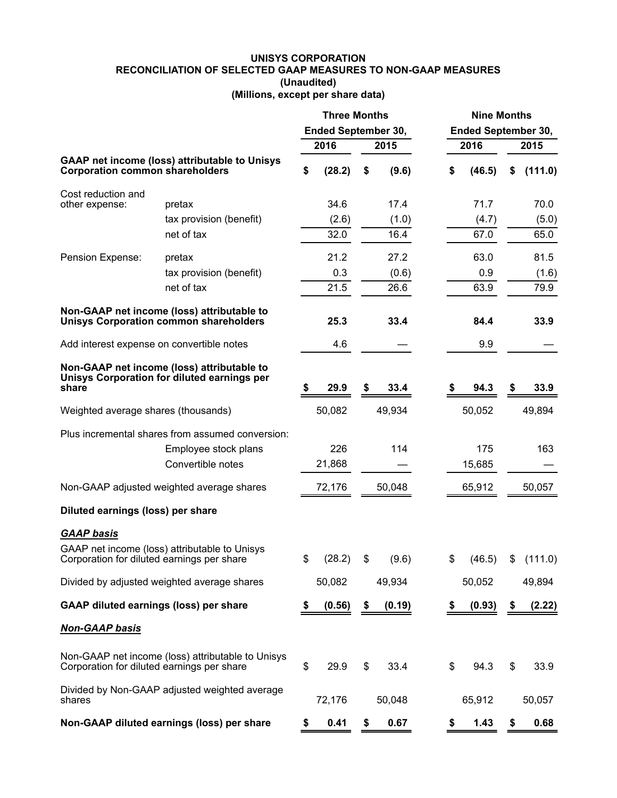# **UNISYS CORPORATION RECONCILIATION OF SELECTED GAAP MEASURES TO NON-GAAP MEASURES (Unaudited)**

|  |  | (Millions, except per share data) |  |
|--|--|-----------------------------------|--|
|--|--|-----------------------------------|--|

|                                               |                                                                                             | <b>Three Months</b><br><b>Ended September 30,</b> |        |    |        | <b>Nine Months</b> |        |                            |           |  |  |
|-----------------------------------------------|---------------------------------------------------------------------------------------------|---------------------------------------------------|--------|----|--------|--------------------|--------|----------------------------|-----------|--|--|
|                                               |                                                                                             |                                                   |        |    |        |                    |        | <b>Ended September 30,</b> |           |  |  |
|                                               |                                                                                             |                                                   | 2016   |    | 2015   | 2016               |        |                            | 2015      |  |  |
| <b>Corporation common shareholders</b>        | <b>GAAP net income (loss) attributable to Unisys</b>                                        | \$                                                | (28.2) | \$ | (9.6)  | \$                 | (46.5) | \$                         | (111.0)   |  |  |
| Cost reduction and                            |                                                                                             |                                                   |        |    |        |                    |        |                            |           |  |  |
| other expense:                                | pretax                                                                                      |                                                   | 34.6   |    | 17.4   |                    | 71.7   |                            | 70.0      |  |  |
|                                               | tax provision (benefit)                                                                     |                                                   | (2.6)  |    | (1.0)  |                    | (4.7)  |                            | (5.0)     |  |  |
|                                               | net of tax                                                                                  |                                                   | 32.0   |    | 16.4   |                    | 67.0   |                            | 65.0      |  |  |
| Pension Expense:                              | pretax                                                                                      |                                                   | 21.2   |    | 27.2   |                    | 63.0   |                            | 81.5      |  |  |
|                                               | tax provision (benefit)                                                                     |                                                   | 0.3    |    | (0.6)  |                    | 0.9    |                            | (1.6)     |  |  |
|                                               | net of tax                                                                                  |                                                   | 21.5   |    | 26.6   |                    | 63.9   |                            | 79.9      |  |  |
|                                               | Non-GAAP net income (loss) attributable to<br><b>Unisys Corporation common shareholders</b> |                                                   | 25.3   |    | 33.4   |                    | 84.4   |                            | 33.9      |  |  |
| Add interest expense on convertible notes     |                                                                                             |                                                   | 4.6    |    |        |                    | 9.9    |                            |           |  |  |
| share                                         | Non-GAAP net income (loss) attributable to<br>Unisys Corporation for diluted earnings per   | \$                                                | 29.9   | \$ | 33.4   |                    | 94.3   | \$                         | 33.9      |  |  |
| Weighted average shares (thousands)           |                                                                                             |                                                   | 50,082 |    | 49,934 |                    | 50,052 |                            | 49,894    |  |  |
|                                               | Plus incremental shares from assumed conversion:                                            |                                                   |        |    |        |                    |        |                            |           |  |  |
|                                               | Employee stock plans                                                                        |                                                   | 226    |    | 114    |                    | 175    |                            | 163       |  |  |
|                                               | Convertible notes                                                                           |                                                   | 21,868 |    |        |                    | 15,685 |                            |           |  |  |
|                                               | Non-GAAP adjusted weighted average shares                                                   |                                                   | 72,176 |    | 50,048 |                    | 65,912 |                            | 50,057    |  |  |
| Diluted earnings (loss) per share             |                                                                                             |                                                   |        |    |        |                    |        |                            |           |  |  |
| <b>GAAP basis</b>                             |                                                                                             |                                                   |        |    |        |                    |        |                            |           |  |  |
| Corporation for diluted earnings per share    | GAAP net income (loss) attributable to Unisys                                               | \$                                                | (28.2) | \$ | (9.6)  | \$                 | (46.5) |                            | \$(111.0) |  |  |
|                                               | Divided by adjusted weighted average shares                                                 |                                                   | 50,082 |    | 49,934 |                    | 50,052 |                            | 49,894    |  |  |
| <b>GAAP diluted earnings (loss) per share</b> |                                                                                             | \$                                                | (0.56) | \$ | (0.19) | \$                 | (0.93) | \$                         | (2.22)    |  |  |
| <b>Non-GAAP basis</b>                         |                                                                                             |                                                   |        |    |        |                    |        |                            |           |  |  |
| Corporation for diluted earnings per share    | Non-GAAP net income (loss) attributable to Unisys                                           | \$                                                | 29.9   | \$ | 33.4   | \$                 | 94.3   | \$                         | 33.9      |  |  |
| shares                                        | Divided by Non-GAAP adjusted weighted average                                               |                                                   | 72,176 |    | 50,048 |                    | 65,912 |                            | 50,057    |  |  |
|                                               | Non-GAAP diluted earnings (loss) per share                                                  | \$                                                | 0.41   | \$ | 0.67   | \$                 | 1.43   | \$                         | 0.68      |  |  |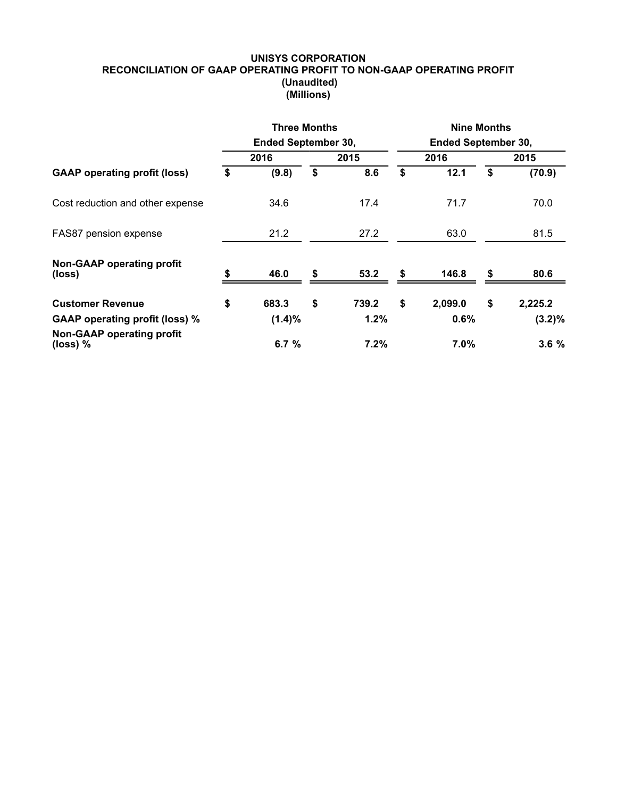#### **UNISYS CORPORATION RECONCILIATION OF GAAP OPERATING PROFIT TO NON-GAAP OPERATING PROFIT (Unaudited) (Millions)**

|                                                | <b>Three Months</b>        |             | <b>Nine Months</b>         |         |      |           |  |  |  |
|------------------------------------------------|----------------------------|-------------|----------------------------|---------|------|-----------|--|--|--|
|                                                | <b>Ended September 30,</b> |             | <b>Ended September 30,</b> |         |      |           |  |  |  |
| <b>GAAP</b> operating profit (loss)            | 2016                       | 2015        |                            | 2016    | 2015 |           |  |  |  |
|                                                | \$<br>(9.8)                | \$<br>8.6   | \$                         | 12.1    | \$   | (70.9)    |  |  |  |
| Cost reduction and other expense               | 34.6                       | 17.4        |                            | 71.7    |      | 70.0      |  |  |  |
| FAS87 pension expense                          | 21.2                       | 27.2        |                            | 63.0    |      | 81.5      |  |  |  |
| <b>Non-GAAP operating profit</b><br>(loss)     | \$<br>46.0                 | \$<br>53.2  | \$                         | 146.8   | \$   | 80.6      |  |  |  |
| <b>Customer Revenue</b>                        | \$<br>683.3                | \$<br>739.2 | \$                         | 2,099.0 | \$   | 2,225.2   |  |  |  |
| <b>GAAP operating profit (loss) %</b>          | $(1.4)\%$                  | 1.2%        |                            | 0.6%    |      | $(3.2)\%$ |  |  |  |
| <b>Non-GAAP operating profit</b><br>(loss) $%$ | 6.7 $%$                    | 7.2%        |                            | $7.0\%$ |      | 3.6%      |  |  |  |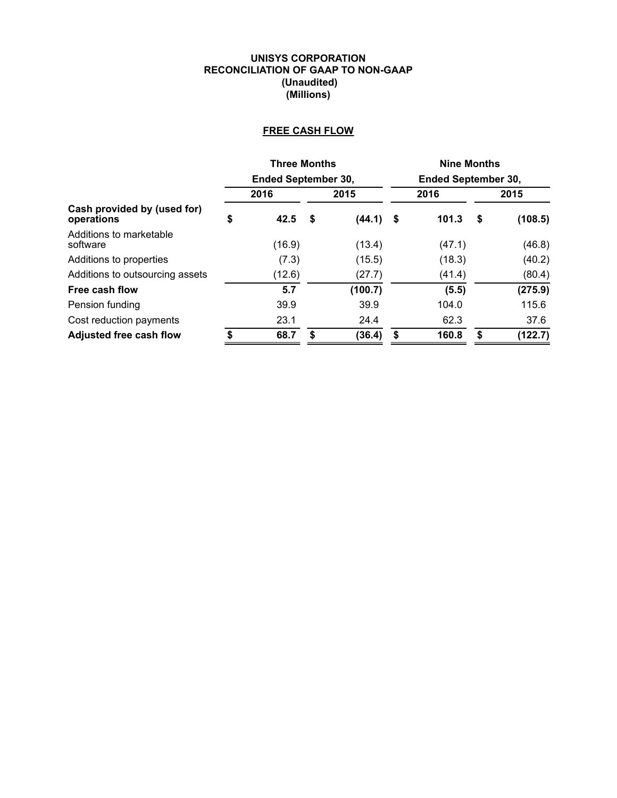#### **UNISYS CORPORATION RECONCILIATION OF GAAP TO NON-GAAP (Unaudited) (Millions)**

# **FREE CASH FLOW**

|                                           | <b>Three Months</b>        |              | <b>Nine Months</b>         |        |    |         |  |  |
|-------------------------------------------|----------------------------|--------------|----------------------------|--------|----|---------|--|--|
|                                           | <b>Ended September 30,</b> |              | <b>Ended September 30,</b> |        |    |         |  |  |
|                                           | 2016                       | 2015         |                            | 2016   |    | 2015    |  |  |
| Cash provided by (used for)<br>operations | \$<br>42.5                 | \$<br>(44.1) | - \$                       | 101.3  | \$ | (108.5) |  |  |
| Additions to marketable<br>software       | (16.9)                     | (13.4)       |                            | (47.1) |    | (46.8)  |  |  |
| Additions to properties                   | (7.3)                      | (15.5)       |                            | (18.3) |    | (40.2)  |  |  |
| Additions to outsourcing assets           | (12.6)                     | (27.7)       |                            | (41.4) |    | (80.4)  |  |  |
| Free cash flow                            | 5.7                        | (100.7)      |                            | (5.5)  |    | (275.9) |  |  |
| Pension funding                           | 39.9                       | 39.9         |                            | 104.0  |    | 115.6   |  |  |
| Cost reduction payments                   | 23.1                       | 24.4         |                            | 62.3   |    | 37.6    |  |  |
| <b>Adjusted free cash flow</b>            | 68.7                       | \$<br>(36.4) | S                          | 160.8  | \$ | (122.7) |  |  |